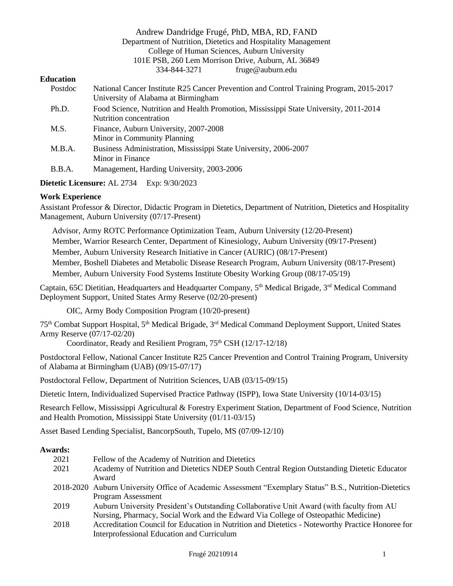## Andrew Dandridge Frugé, PhD, MBA, RD, FAND Department of Nutrition, Dietetics and Hospitality Management College of Human Sciences, Auburn University 101E PSB, 260 Lem Morrison Drive, Auburn, AL 36849 334-844-3271 fruge@auburn.edu

#### **Education**

| Postdoc | National Cancer Institute R25 Cancer Prevention and Control Training Program, 2015-2017 |
|---------|-----------------------------------------------------------------------------------------|
|         | University of Alabama at Birmingham                                                     |
| Ph.D.   | Food Science, Nutrition and Health Promotion, Mississippi State University, 2011-2014   |
|         | Nutrition concentration                                                                 |
| M.S.    | Finance, Auburn University, 2007-2008                                                   |
|         | Minor in Community Planning                                                             |
| M.B.A.  | Business Administration, Mississippi State University, 2006-2007                        |
|         | Minor in Finance                                                                        |
| B.B.A.  | Management, Harding University, 2003-2006                                               |
|         |                                                                                         |

**Dietetic Licensure:** AL 2734 Exp: 9/30/2023

## **Work Experience**

Assistant Professor & Director, Didactic Program in Dietetics, Department of Nutrition, Dietetics and Hospitality Management, Auburn University (07/17-Present)

 Advisor, Army ROTC Performance Optimization Team, Auburn University (12/20-Present) Member, Warrior Research Center, Department of Kinesiology, Auburn University (09/17-Present) Member, Auburn University Research Initiative in Cancer (AURIC) (08/17-Present) Member, Boshell Diabetes and Metabolic Disease Research Program, Auburn University (08/17-Present) Member, Auburn University Food Systems Institute Obesity Working Group (08/17-05/19)

Captain, 65C Dietitian, Headquarters and Headquarter Company, 5<sup>th</sup> Medical Brigade, 3<sup>rd</sup> Medical Command Deployment Support, United States Army Reserve (02/20-present)

OIC, Army Body Composition Program (10/20-present)

75th Combat Support Hospital, 5th Medical Brigade, 3rd Medical Command Deployment Support, United States Army Reserve (07/17-02/20)

Coordinator, Ready and Resilient Program, 75<sup>th</sup> CSH (12/17-12/18)

Postdoctoral Fellow, National Cancer Institute R25 Cancer Prevention and Control Training Program, University of Alabama at Birmingham (UAB) (09/15-07/17)

Postdoctoral Fellow, Department of Nutrition Sciences, UAB (03/15-09/15)

Dietetic Intern, Individualized Supervised Practice Pathway (ISPP), Iowa State University (10/14-03/15)

Research Fellow, Mississippi Agricultural & Forestry Experiment Station, Department of Food Science, Nutrition and Health Promotion, Mississippi State University (01/11-03/15)

Asset Based Lending Specialist, BancorpSouth, Tupelo, MS (07/09-12/10)

#### **Awards:**

| 2021 | Fellow of the Academy of Nutrition and Dietetics                                                       |
|------|--------------------------------------------------------------------------------------------------------|
| 2021 | Academy of Nutrition and Dietetics NDEP South Central Region Outstanding Dietetic Educator             |
|      | Award                                                                                                  |
|      | 2018-2020 Auburn University Office of Academic Assessment "Exemplary Status" B.S., Nutrition-Dietetics |
|      | Program Assessment                                                                                     |
| 2019 | Auburn University President's Outstanding Collaborative Unit Award (with faculty from AU               |
|      | Nursing, Pharmacy, Social Work and the Edward Via College of Osteopathic Medicine)                     |
| 2018 | Accreditation Council for Education in Nutrition and Dietetics - Noteworthy Practice Honoree for       |
|      | Interprofessional Education and Curriculum                                                             |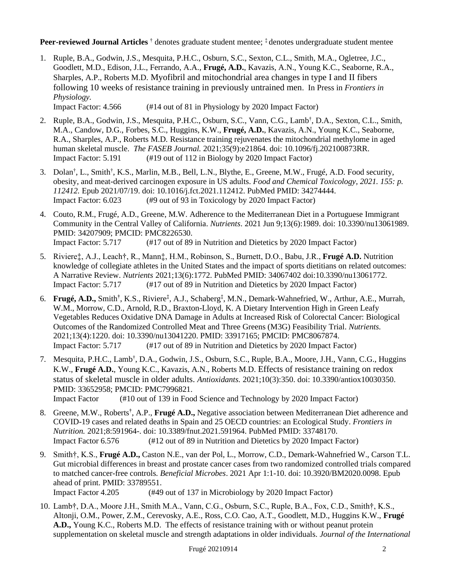# **Peer-reviewed Journal Articles** † denotes graduate student mentee; ‡ denotes undergraduate student mentee

1. Ruple, B.A., Godwin, J.S., Mesquita, P.H.C., Osburn, S.C., Sexton, C.L., Smith, M.A., Ogletree, J.C., Goodlett, M.D., Edison, J.L., Ferrando, A.A., **Frugé, A.D.**, Kavazis, A.N., Young K.C., Seaborne, R.A., Sharples, A.P., Roberts M.D. Myofibril and mitochondrial area changes in type I and II fibers following 10 weeks of resistance training in previously untrained men. In Press in *Frontiers in Physiology.*

Impact Factor: 4.566 (#14 out of 81 in Physiology by 2020 Impact Factor)

- 2. Ruple, B.A., Godwin, J.S., Mesquita, P.H.C., Osburn, S.C., Vann, C.G., Lamb<sup>†</sup>, D.A., Sexton, C.L., Smith, M.A., Candow, D.G., Forbes, S.C., Huggins, K.W., **Frugé, A.D.**, Kavazis, A.N., Young K.C., Seaborne, R.A., Sharples, A.P., Roberts M.D. Resistance training rejuvenates the mitochondrial methylome in aged human skeletal muscle. *The FASEB Journal.* 2021;35(9):e21864. doi: 10.1096/fj.202100873RR. Impact Factor: 5.191 (#19 out of 112 in Biology by 2020 Impact Factor)
- 3. Dolan<sup>†</sup>, L., Smith<sup>†</sup>, K.S., Marlin, M.B., Bell, L.N., Blythe, E., Greene, M.W., Frugé, A.D. Food security, obesity, and meat-derived carcinogen exposure in US adults. *Food and Chemical Toxicology, 2021. 155: p. 112412.* Epub 2021/07/19. doi: 10.1016/j.fct.2021.112412. PubMed PMID: 34274444. Impact Factor: 6.023 (#9 out of 93 in Toxicology by 2020 Impact Factor)
- 4. Couto, R.M., Frugé, A.D., Greene, M.W. Adherence to the Mediterranean Diet in a Portuguese Immigrant Community in the Central Valley of California. *Nutrients*. 2021 Jun 9;13(6):1989. doi: 10.3390/nu13061989. PMID: 34207909; PMCID: PMC8226530. Impact Factor: 5.717 (#17 out of 89 in Nutrition and Dietetics by 2020 Impact Factor)
- 5. Riviere‡, A.J., Leach†, R., Mann‡, H.M., Robinson, S., Burnett, D.O., Babu, J.R., **Frugé A.D.** Nutrition knowledge of collegiate athletes in the United States and the impact of sports dietitians on related outcomes: A Narrative Review. *Nutrients* 2021;13(6):1772. PubMed PMID: 34067402 doi:10.3390/nu13061772. Impact Factor: 5.717 (#17 out of 89 in Nutrition and Dietetics by 2020 Impact Factor)
- 6. **Frugé, A.D.,** Smith**†** , K.S., Riviere**‡** , A.J., Schaberg**‡** , M.N., Demark-Wahnefried, W., Arthur, A.E., Murrah, W.M., Morrow, C.D., Arnold, R.D., Braxton-Lloyd, K. A Dietary Intervention High in Green Leafy Vegetables Reduces Oxidative DNA Damage in Adults at Increased Risk of Colorectal Cancer: Biological Outcomes of the Randomized Controlled Meat and Three Greens (M3G) Feasibility Trial. *Nutrients.* 2021;13(4):1220. doi: 10.3390/nu13041220. PMID: 33917165; PMCID: PMC8067874. Impact Factor: 5.717 (#17 out of 89 in Nutrition and Dietetics by 2020 Impact Factor)
- 7. Mesquita, P.H.C., Lamb† , D.A., Godwin, J.S., Osburn, S.C., Ruple, B.A., Moore, J.H., Vann, C.G., Huggins K.W., **Frugé A.D.**, Young K.C., Kavazis, A.N., Roberts M.D. Effects of resistance training on redox status of skeletal muscle in older adults. *Antioxidants.* 2021;10(3):350. doi: 10.3390/antiox10030350. PMID: 33652958; PMCID: PMC7996821.

Impact Factor (#10 out of 139 in Food Science and Technology by 2020 Impact Factor)

- 8. Greene, M.W., Roberts**†** , A.P., **Frugé A.D.,** Negative association between Mediterranean Diet adherence and COVID-19 cases and related deaths in Spain and 25 OECD countries: an Ecological Study. *Frontiers in Nutrition.* 2021;8:591964-. doi: 10.3389/fnut.2021.591964. PubMed PMID: 33748170. Impact Factor 6.576 (#12 out of 89 in Nutrition and Dietetics by 2020 Impact Factor)
- 9. Smith†, K.S., **Frugé A.D.,** Caston N.E., van der Pol, L., Morrow, C.D., Demark-Wahnefried W., Carson T.L. Gut microbial differences in breast and prostate cancer cases from two randomized controlled trials compared to matched cancer-free controls. *Beneficial Microbes*. 2021 Apr 1:1-10. doi: 10.3920/BM2020.0098. Epub ahead of print. PMID: 33789551.
	- Impact Factor 4.205 (#49 out of 137 in Microbiology by 2020 Impact Factor)
- 10. Lamb†, D.A., Moore J.H., Smith M.A., Vann, C.G., Osburn, S.C., Ruple, B.A., Fox, C.D., Smith†, K.S., Altonji, O.M., Power, Z.M., Cerevosky, A.E., Ross, C.O. Cao, A.T., Goodlett, M.D., Huggins K.W., **Frugé A.D.,** Young K.C., Roberts M.D. The effects of resistance training with or without peanut protein supplementation on skeletal muscle and strength adaptations in older individuals. *Journal of the International*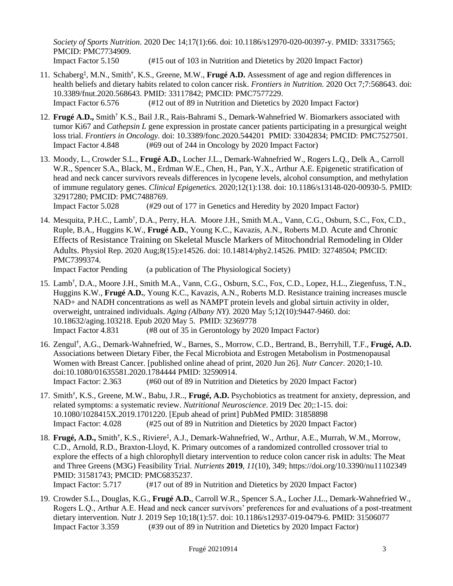*Society of Sports Nutrition.* 2020 Dec 14;17(1):66. doi: 10.1186/s12970-020-00397-y. PMID: 33317565; PMCID: PMC7734909. Impact Factor 5.150 (#15 out of 103 in Nutrition and Dietetics by 2020 Impact Factor)

- 11. Schaberg**‡** , M.N., Smith**†** , K.S., Greene, M.W., **Frugé A.D.** Assessment of age and region differences in health beliefs and dietary habits related to colon cancer risk. *Frontiers in Nutrition*. 2020 Oct 7;7:568643. doi: 10.3389/fnut.2020.568643. PMID: 33117842; PMCID: PMC7577229. Impact Factor 6.576 (#12 out of 89 in Nutrition and Dietetics by 2020 Impact Factor)
- 12. **Frugé A.D.,** Smith† K.S., Bail J.R., Rais-Bahrami S., Demark-Wahnefried W. Biomarkers associated with tumor Ki67 and *Cathepsin L* gene expression in prostate cancer patients participating in a presurgical weight loss trial. *Frontiers in Oncology.* doi: 10.3389/fonc.2020.544201 PMID: 33042834; PMCID: PMC7527501. Impact Factor 4.848 (#69 out of 244 in Oncology by 2020 Impact Factor)
- 13. Moody, L., Crowder S.L., **Frugé A.D.**, Locher J.L., Demark-Wahnefried W., Rogers L.Q., Delk A., Carroll W.R., Spencer S.A., Black, M., Erdman W.E., Chen, H., Pan, Y.X., Arthur A.E. Epigenetic stratification of head and neck cancer survivors reveals differences in lycopene levels, alcohol consumption, and methylation of immune regulatory genes. *Clinical Epigenetics.* 2020;12(1):138. doi: 10.1186/s13148-020-00930-5. PMID: 32917280; PMCID: PMC7488769.

Impact Factor 5.028 (#29 out of 177 in Genetics and Heredity by 2020 Impact Factor)

14. Mesquita, P.H.C., Lamb<sup>†</sup>, D.A., Perry, H.A. Moore J.H., Smith M.A., Vann, C.G., Osburn, S.C., Fox, C.D., Ruple, B.A., Huggins K.W., **Frugé A.D.**, Young K.C., Kavazis, A.N., Roberts M.D. Acute and Chronic Effects of Resistance Training on Skeletal Muscle Markers of Mitochondrial Remodeling in Older Adults. Physiol Rep. 2020 Aug;8(15):e14526. doi: 10.14814/phy2.14526. PMID: 32748504; PMCID: PMC7399374.

Impact Factor Pending (a publication of The Physiological Society)

- 15. Lamb† , D.A., Moore J.H., Smith M.A., Vann, C.G., Osburn, S.C., Fox, C.D., Lopez, H.L., Ziegenfuss, T.N., Huggins K.W., **Frugé A.D.**, Young K.C., Kavazis, A.N., Roberts M.D. Resistance training increases muscle NAD+ and NADH concentrations as well as NAMPT protein levels and global sirtuin activity in older, overweight, untrained individuals. *Aging (Albany NY).* 2020 May 5;12(10):9447-9460. doi: 10.18632/aging.103218. Epub 2020 May 5. PMID: 32369778 Impact Factor 4.831 (#8 out of 35 in Gerontology by 2020 Impact Factor)
- 16. Zengul**†** , A.G., Demark-Wahnefried, W., Barnes, S., Morrow, C.D., Bertrand, B., Berryhill, T.F., **Frugé, A.D.** Associations between Dietary Fiber, the Fecal Microbiota and Estrogen Metabolism in Postmenopausal Women with Breast Cancer. [published online ahead of print, 2020 Jun 26]. *Nutr Cancer.* 2020;1-10. doi:10.1080/01635581.2020.1784444 PMID: 32590914. Impact Factor: 2.363 (#60 out of 89 in Nutrition and Dietetics by 2020 Impact Factor)
- 17. Smith**†** , K.S., Greene, M.W., Babu, J.R.., **Frugé, A.D.** Psychobiotics as treatment for anxiety, depression, and related symptoms: a systematic review. *Nutritional Neuroscience*. 2019 Dec 20;:1-15. doi: 10.1080/1028415X.2019.1701220. [Epub ahead of print] PubMed PMID: 31858898 Impact Factor: 4.028 (#25 out of 89 in Nutrition and Dietetics by 2020 Impact Factor)
- 18. **Frugé, A.D.,** Smith**†** , K.S., Riviere**‡** , A.J., Demark-Wahnefried, W., Arthur, A.E., Murrah, W.M., Morrow, C.D., Arnold, R.D., Braxton-Lloyd, K. Primary outcomes of a randomized controlled crossover trial to explore the effects of a high chlorophyll dietary intervention to reduce colon cancer risk in adults: The Meat and Three Greens (M3G) Feasibility Trial. *Nutrients* **2019**, *11*(10), 349; https://doi.org/10.3390/nu11102349 PMID: 31581743; PMCID: PMC6835237. Impact Factor: 5.717 (#17 out of 89 in Nutrition and Dietetics by 2020 Impact Factor)
- 19. Crowder S.L., Douglas, K.G., **Frugé A.D.**, Carroll W.R., Spencer S.A., Locher J.L., Demark-Wahnefried W., Rogers L.Q., Arthur A.E. Head and neck cancer survivors' preferences for and evaluations of a post-treatment dietary intervention. Nutr J. 2019 Sep 10;18(1):57. doi: 10.1186/s12937-019-0479-6. PMID: 31506077 Impact Factor 3.359 (#39 out of 89 in Nutrition and Dietetics by 2020 Impact Factor)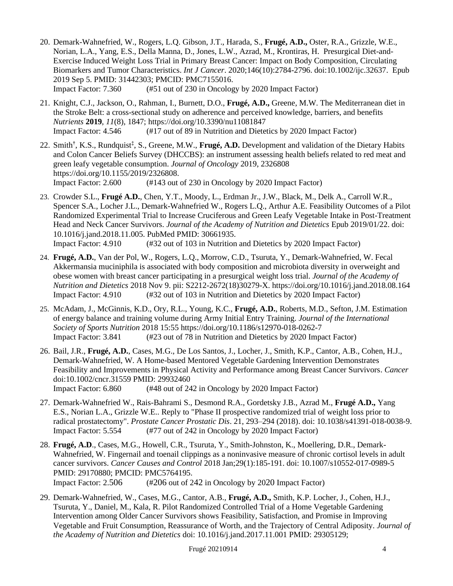- 20. Demark-Wahnefried, W., Rogers, L.Q. Gibson, J.T., Harada, S., **Frugé, A.D.,** Oster, R.A., Grizzle, W.E., Norian, L.A., Yang, E.S., Della Manna, D., Jones, L.W., Azrad, M., Krontiras, H. Presurgical Diet-and-Exercise Induced Weight Loss Trial in Primary Breast Cancer: Impact on Body Composition, Circulating Biomarkers and Tumor Characteristics. *Int J Cancer*. 2020;146(10):2784-2796. doi:10.1002/ijc.32637. Epub 2019 Sep 5. PMID: 31442303; PMCID: PMC7155016. Impact Factor: 7.360 (#51 out of 230 in Oncology by 2020 Impact Factor)
- 21. Knight, C.J., Jackson, O., Rahman, I., Burnett, D.O., **Frugé, A.D.,** Greene, M.W. The Mediterranean diet in the Stroke Belt: a cross-sectional study on adherence and perceived knowledge, barriers, and benefits *Nutrients* **2019**, *11*(8), 1847; https://doi.org/10.3390/nu11081847 Impact Factor: 4.546 (#17 out of 89 in Nutrition and Dietetics by 2020 Impact Factor)
- 22. Smith**†** , K.S., Rundquist**‡** , S., Greene, M.W., **Frugé, A.D.** Development and validation of the Dietary Habits and Colon Cancer Beliefs Survey (DHCCBS): an instrument assessing health beliefs related to red meat and green leafy vegetable consumption. *Journal of Oncology* 2019, 2326808 https://doi.org/10.1155/2019/2326808. Impact Factor: 2.600 (#143 out of 230 in Oncology by 2020 Impact Factor)
- 23. Crowder S.L., **Frugé A.D.**, Chen, Y.T., Moody, L., Erdman Jr., J.W., Black, M., Delk A., Carroll W.R., Spencer S.A., Locher J.L., Demark-Wahnefried W., Rogers L.Q., Arthur A.E. Feasibility Outcomes of a Pilot Randomized Experimental Trial to Increase Cruciferous and Green Leafy Vegetable Intake in Post-Treatment Head and Neck Cancer Survivors. *Journal of the Academy of Nutrition and Dietetics* Epub 2019/01/22. doi: 10.1016/j.jand.2018.11.005. PubMed PMID: 30661935. Impact Factor: 4.910 (#32 out of 103 in Nutrition and Dietetics by 2020 Impact Factor)
- 24. **Frugé, A.D.**, Van der Pol, W., Rogers, L.Q., Morrow, C.D., Tsuruta, Y., Demark-Wahnefried, W. Fecal Akkermansia muciniphila is associated with body composition and microbiota diversity in overweight and obese women with breast cancer participating in a presurgical weight loss trial. *Journal of the Academy of Nutrition and Dietetics* 2018 Nov 9. pii: S2212-2672(18)30279-X. https://doi.org/10.1016/j.jand.2018.08.164 Impact Factor: 4.910 (#32 out of 103 in Nutrition and Dietetics by 2020 Impact Factor)
- 25. McAdam, J., McGinnis, K.D., Ory, R.L., Young, K.C., **Frugé, A.D.**, Roberts, M.D., Sefton, J.M. Estimation of energy balance and training volume during Army Initial Entry Training. *Journal of the International Society of Sports Nutrition* 2018 15:55 https://doi.org/10.1186/s12970-018-0262-7 Impact Factor: 3.841 (#23 out of 78 in Nutrition and Dietetics by 2020 Impact Factor)
- 26. Bail, J.R., **Frugé, A.D.**, Cases, M.G., De Los Santos, J., Locher, J., Smith, K.P., Cantor, A.B., Cohen, H.J., Demark-Wahnefried, W. A Home-based Mentored Vegetable Gardening Intervention Demonstrates Feasibility and Improvements in Physical Activity and Performance among Breast Cancer Survivors. *Cancer*  doi:10.1002/cncr.31559 PMID: 29932460 Impact Factor: 6.860 (#48 out of 242 in Oncology by 2020 Impact Factor)
- 27. Demark-Wahnefried W., Rais-Bahrami S., Desmond R.A., Gordetsky J.B., Azrad M., **Frugé A.D.,** Yang E.S., Norian L.A., Grizzle W.E.. Reply to "Phase II prospective randomized trial of weight loss prior to radical prostatectomy". *Prostate Cancer Prostatic Dis*. 21, 293–294 (2018). doi: 10.1038/s41391-018-0038-9. Impact Factor: 5.554 (#77 out of 242 in Oncology by 2020 Impact Factor)
- 28. **Frugé, A.D**., Cases, M.G., Howell, C.R., Tsuruta, Y., Smith-Johnston, K., Moellering, D.R., Demark-Wahnefried, W. Fingernail and toenail clippings as a noninvasive measure of chronic cortisol levels in adult cancer survivors. *Cancer Causes and Control* 2018 Jan;29(1):185-191. doi: 10.1007/s10552-017-0989-5 PMID: 29170880; PMCID: PMC5764195. Impact Factor: 2.506 (#206 out of 242 in Oncology by 2020 Impact Factor)
- 29. Demark-Wahnefried, W., Cases, M.G., Cantor, A.B., **Frugé, A.D.,** Smith, K.P. Locher, J., Cohen, H.J., Tsuruta, Y., Daniel, M., Kala, R. Pilot Randomized Controlled Trial of a Home Vegetable Gardening Intervention among Older Cancer Survivors shows Feasibility, Satisfaction, and Promise in Improving Vegetable and Fruit Consumption, Reassurance of Worth, and the Trajectory of Central Adiposity. *Journal of the Academy of Nutrition and Dietetics* doi: 10.1016/j.jand.2017.11.001 PMID: 29305129;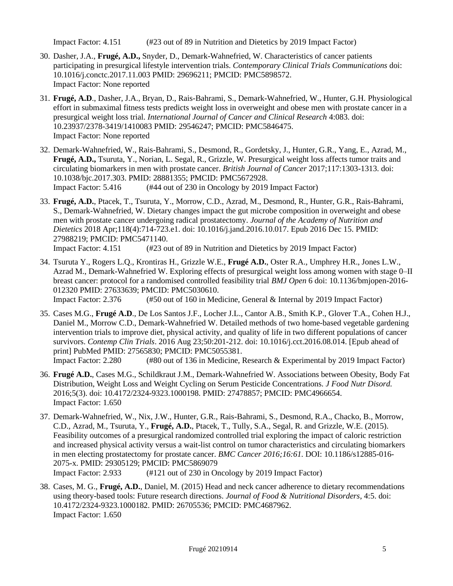Impact Factor: 4.151 (#23 out of 89 in Nutrition and Dietetics by 2019 Impact Factor)

- 30. Dasher, J.A., **Frugé, A.D.,** Snyder, D., Demark-Wahnefried, W. Characteristics of cancer patients participating in presurgical lifestyle intervention trials. *Contemporary Clinical Trials Communications* doi: 10.1016/j.conctc.2017.11.003 PMID: 29696211; PMCID: PMC5898572. Impact Factor: None reported
- 31. **Frugé, A.D**., Dasher, J.A., Bryan, D., Rais-Bahrami, S., Demark-Wahnefried, W., Hunter, G.H. Physiological effort in submaximal fitness tests predicts weight loss in overweight and obese men with prostate cancer in a presurgical weight loss trial. *International Journal of Cancer and Clinical Research* 4:083. doi: 10.23937/2378-3419/1410083 PMID: 29546247; PMCID: PMC5846475. Impact Factor: None reported
- 32. Demark-Wahnefried, W., Rais-Bahrami, S., Desmond, R., Gordetsky, J., Hunter, G.R., Yang, E., Azrad, M., **Frugé, A.D.,** Tsuruta, Y., Norian, L. Segal, R., Grizzle, W. Presurgical weight loss affects tumor traits and circulating biomarkers in men with prostate cancer. *British Journal of Cancer* 2017;117:1303-1313. doi: 10.1038/bjc.2017.303. PMID: 28881355; PMCID: PMC5672928. Impact Factor: 5.416 (#44 out of 230 in Oncology by 2019 Impact Factor)
- 33. **Frugé, A.D.**, Ptacek, T., Tsuruta, Y., Morrow, C.D., Azrad, M., Desmond, R., Hunter, G.R., Rais-Bahrami, S., Demark-Wahnefried, W. Dietary changes impact the gut microbe composition in overweight and obese men with prostate cancer undergoing radical prostatectomy. *Journal of the Academy of Nutrition and Dietetics* 2018 Apr;118(4):714-723.e1. doi: 10.1016/j.jand.2016.10.017. Epub 2016 Dec 15. PMID: 27988219; PMCID: PMC5471140.

Impact Factor: 4.151 (#23 out of 89 in Nutrition and Dietetics by 2019 Impact Factor)

34. Tsuruta Y., Rogers L.Q., Krontiras H., Grizzle W.E., **Frugé A.D.**, Oster R.A., Umphrey H.R., Jones L.W., Azrad M., Demark-Wahnefried W. Exploring effects of presurgical weight loss among women with stage 0–II breast cancer: protocol for a randomised controlled feasibility trial *BMJ Open* 6 doi: 10.1136/bmjopen-2016- 012320 PMID: 27633639; PMCID: PMC5030610.

Impact Factor: 2.376 (#50 out of 160 in Medicine, General & Internal by 2019 Impact Factor)

- 35. Cases M.G., **Frugé A.D**., De Los Santos J.F., Locher J.L., Cantor A.B., Smith K.P., Glover T.A., Cohen H.J., Daniel M., Morrow C.D., Demark-Wahnefried W. Detailed methods of two home-based vegetable gardening intervention trials to improve diet, physical activity, and quality of life in two different populations of cancer survivors. *Contemp Clin Trials*. 2016 Aug 23;50:201-212. doi: 10.1016/j.cct.2016.08.014. [Epub ahead of print] PubMed PMID: 27565830; PMCID: PMC5055381. Impact Factor: 2.280 (#80 out of 136 in Medicine, Research & Experimental by 2019 Impact Factor)
- 36. **Frugé A.D.**, Cases M.G., Schildkraut J.M., Demark-Wahnefried W. Associations between Obesity, Body Fat Distribution, Weight Loss and Weight Cycling on Serum Pesticide Concentrations. *J Food Nutr Disord.* 2016;5(3). doi: 10.4172/2324-9323.1000198. PMID: 27478857; PMCID: PMC4966654. Impact Factor: 1.650
- 37. Demark-Wahnefried, W., Nix, J.W., Hunter, G.R., Rais-Bahrami, S., Desmond, R.A., Chacko, B., Morrow, C.D., Azrad, M., Tsuruta, Y., **Frugé, A.D.**, Ptacek, T., Tully, S.A., Segal, R. and Grizzle, W.E. (2015). Feasibility outcomes of a presurgical randomized controlled trial exploring the impact of caloric restriction and increased physical activity versus a wait-list control on tumor characteristics and circulating biomarkers in men electing prostatectomy for prostate cancer. *BMC Cancer 2016;16:61.* DOI: 10.1186/s12885-016- 2075-x. PMID: 29305129; PMCID: PMC5869079 Impact Factor: 2.933 (#121 out of 230 in Oncology by 2019 Impact Factor)
- 38. Cases, M. G., **Frugé, A.D.**, Daniel, M. (2015) Head and neck cancer adherence to dietary recommendations using theory-based tools: Future research directions. *Journal of Food & Nutritional Disorders*, 4:5. doi: 10.4172/2324-9323.1000182. PMID: 26705536; PMCID: PMC4687962. Impact Factor: 1.650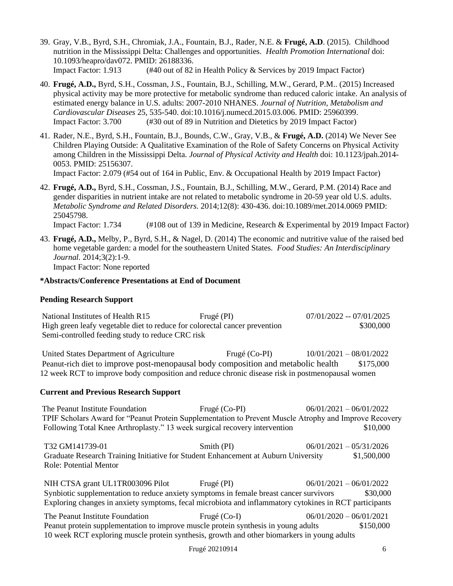- 39. Gray, V.B., Byrd, S.H., Chromiak, J.A., Fountain, B.J., Rader, N.E. & **Frugé, A.D**. (2015). Childhood nutrition in the Mississippi Delta: Challenges and opportunities. *Health Promotion International* doi: 10.1093/heapro/dav072. PMID: 26188336. Impact Factor: 1.913 (#40 out of 82 in Health Policy & Services by 2019 Impact Factor)
- 40. **Frugé, A.D.,** Byrd, S.H., Cossman, J.S., Fountain, B.J., Schilling, M.W., Gerard, P.M.. (2015) Increased physical activity may be more protective for metabolic syndrome than reduced caloric intake. An analysis of estimated energy balance in U.S. adults: 2007-2010 NHANES. *Journal of Nutrition, Metabolism and Cardiovascular Diseases* 25, 535-540. doi:10.1016/j.numecd.2015.03.006. PMID: 25960399. Impact Factor: 3.700 (#30 out of 89 in Nutrition and Dietetics by 2019 Impact Factor)
- 41. Rader, N.E., Byrd, S.H., Fountain, B.J., Bounds, C.W., Gray, V.B., & **Frugé, A.D.** (2014) We Never See Children Playing Outside: A Qualitative Examination of the Role of Safety Concerns on Physical Activity among Children in the Mississippi Delta. *Journal of Physical Activity and Health* doi: 10.1123/jpah.2014- 0053. PMID: 25156307.

Impact Factor: 2.079 (#54 out of 164 in Public, Env. & Occupational Health by 2019 Impact Factor)

42. **Frugé, A.D.,** Byrd, S.H., Cossman, J.S., Fountain, B.J., Schilling, M.W., Gerard, P.M. (2014) Race and gender disparities in nutrient intake are not related to metabolic syndrome in 20-59 year old U.S. adults. *Metabolic Syndrome and Related Disorders.* 2014;12(8): 430-436. doi:10.1089/met.2014.0069 PMID: 25045798.

Impact Factor: 1.734 (#108 out of 139 in Medicine, Research & Experimental by 2019 Impact Factor)

43. **Frugé, A.D.,** Melby, P., Byrd, S.H., & Nagel, D. (2014) The economic and nutritive value of the raised bed home vegetable garden: a model for the southeastern United States. *Food Studies: An Interdisciplinary Journal.* 2014;3(2):1-9. Impact Factor: None reported

# **\*Abstracts/Conference Presentations at End of Document**

## **Pending Research Support**

| National Institutes of Health R15                                          | Frugé (PI) | $07/01/2022 - 07/01/2025$ |
|----------------------------------------------------------------------------|------------|---------------------------|
| High green leafy vegetable diet to reduce for colorectal cancer prevention | \$300,000  |                           |
| Semi-controlled feeding study to reduce CRC risk                           |            |                           |

United States Department of Agriculture Frugé (Co-PI)  $10/01/2021 - 08/01/2022$ Peanut-rich diet to improve post-menopausal body composition and metabolic health \$175,000 12 week RCT to improve body composition and reduce chronic disease risk in postmenopausal women

## **Current and Previous Research Support**

The Peanut Institute Foundation Frugé (Co-PI) 06/01/2021 – 06/01/2022 TPIF Scholars Award for "Peanut Protein Supplementation to Prevent Muscle Atrophy and Improve Recovery Following Total Knee Arthroplasty." 13 week surgical recovery intervention \$10,000

 T32 GM141739-01 Smith (PI) 06/01/2021 – 05/31/2026 Graduate Research Training Initiative for Student Enhancement at Auburn University \$1,500,000 Role: Potential Mentor

 NIH CTSA grant UL1TR003096 Pilot Frugé (PI) 06/01/2021 – 06/01/2022 Synbiotic supplementation to reduce anxiety symptoms in female breast cancer survivors \$30,000 Exploring changes in anxiety symptoms, fecal microbiota and inflammatory cytokines in RCT participants

 The Peanut Institute Foundation Frugé (Co-I) 06/01/2020 – 06/01/2021 Peanut protein supplementation to improve muscle protein synthesis in young adults \$150,000 10 week RCT exploring muscle protein synthesis, growth and other biomarkers in young adults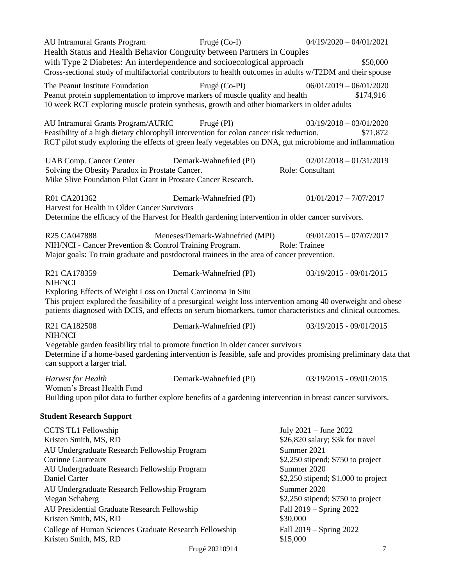| <b>AU Intramural Grants Program</b>                                                                                                                                                                                                                           | Frugé (Co-I)                    | $04/19/2020 - 04/01/2021$                                                                                                                                                                                                                               |  |
|---------------------------------------------------------------------------------------------------------------------------------------------------------------------------------------------------------------------------------------------------------------|---------------------------------|---------------------------------------------------------------------------------------------------------------------------------------------------------------------------------------------------------------------------------------------------------|--|
| Health Status and Health Behavior Congruity between Partners in Couples<br>with Type 2 Diabetes: An interdependence and socioecological approach<br>Cross-sectional study of multifactorial contributors to health outcomes in adults w/T2DM and their spouse |                                 | \$50,000                                                                                                                                                                                                                                                |  |
| The Peanut Institute Foundation<br>Peanut protein supplementation to improve markers of muscle quality and health<br>10 week RCT exploring muscle protein synthesis, growth and other biomarkers in older adults                                              | Frugé (Co-PI)                   | $06/01/2019 - 06/01/2020$<br>\$174,916                                                                                                                                                                                                                  |  |
| AU Intramural Grants Program/AURIC Frugé (PI)<br>Feasibility of a high dietary chlorophyll intervention for colon cancer risk reduction.<br>RCT pilot study exploring the effects of green leafy vegetables on DNA, gut microbiome and inflammation           |                                 | $03/19/2018 - 03/01/2020$<br>\$71,872                                                                                                                                                                                                                   |  |
| <b>UAB Comp. Cancer Center</b><br>Solving the Obesity Paradox in Prostate Cancer.<br>Mike Slive Foundation Pilot Grant in Prostate Cancer Research.                                                                                                           | Demark-Wahnefried (PI)          | $02/01/2018 - 01/31/2019$<br>Role: Consultant                                                                                                                                                                                                           |  |
| R01 CA201362<br>Harvest for Health in Older Cancer Survivors<br>Determine the efficacy of the Harvest for Health gardening intervention in older cancer survivors.                                                                                            | Demark-Wahnefried (PI)          | $01/01/2017 - 7/07/2017$                                                                                                                                                                                                                                |  |
| R <sub>25</sub> CA047888<br>NIH/NCI - Cancer Prevention & Control Training Program.<br>Major goals: To train graduate and postdoctoral trainees in the area of cancer prevention.                                                                             | Meneses/Demark-Wahnefried (MPI) | $09/01/2015 - 07/07/2017$<br><b>Role: Trainee</b>                                                                                                                                                                                                       |  |
| R21 CA178359<br>NIH/NCI<br>Exploring Effects of Weight Loss on Ductal Carcinoma In Situ                                                                                                                                                                       | Demark-Wahnefried (PI)          | 03/19/2015 - 09/01/2015<br>This project explored the feasibility of a presurgical weight loss intervention among 40 overweight and obese<br>patients diagnosed with DCIS, and effects on serum biomarkers, tumor characteristics and clinical outcomes. |  |
| R21 CA182508<br>NIH/NCI<br>Vegetable garden feasibility trial to promote function in older cancer survivors<br>can support a larger trial.                                                                                                                    | Demark-Wahnefried (PI)          | 03/19/2015 - 09/01/2015<br>Determine if a home-based gardening intervention is feasible, safe and provides promising preliminary data that                                                                                                              |  |
| <b>Harvest</b> for Health<br>Women's Breast Health Fund<br>Building upon pilot data to further explore benefits of a gardening intervention in breast cancer survivors.                                                                                       | Demark-Wahnefried (PI)          | 03/19/2015 - 09/01/2015                                                                                                                                                                                                                                 |  |
| <b>Student Research Support</b>                                                                                                                                                                                                                               |                                 |                                                                                                                                                                                                                                                         |  |
| <b>CCTS TL1 Fellowship</b><br>Kristen Smith, MS, RD<br>AU Undergraduate Research Fellowship Program<br><b>Corinne Gautreaux</b><br>AU Undergraduate Research Fellowship Program<br>Daniel Carter                                                              |                                 | July 2021 - June 2022<br>\$26,820 salary; \$3k for travel<br>Summer 2021<br>$$2,250$ stipend; $$750$ to project<br>Summer 2020<br>\$2,250 stipend; \$1,000 to project                                                                                   |  |
| AU Undergraduate Research Fellowship Program<br>Megan Schaberg<br>AU Presidential Graduate Research Fellowship<br>Kristen Smith, MS, RD                                                                                                                       |                                 | Summer 2020<br>\$2,250 stipend; $$750$ to project<br>Fall 2019 - Spring 2022<br>\$30,000                                                                                                                                                                |  |
| College of Human Sciences Graduate Research Fellowship<br>Kristen Smith, MS, RD                                                                                                                                                                               |                                 | Fall 2019 - Spring 2022<br>\$15,000                                                                                                                                                                                                                     |  |

Frugé 20210914 7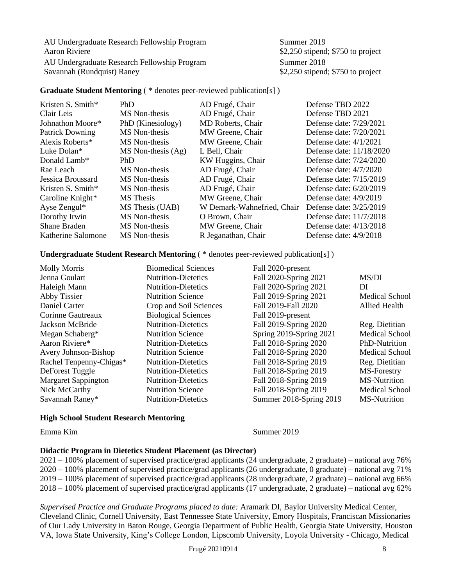AU Undergraduate Research Fellowship Program Summer 2019 **Aaron Riviere 12.250** stipend; \$750 to project AU Undergraduate Research Fellowship Program Summer 2018 **Savannah (Rundquist) Raney \$2,250 stipend; \$750 to project** 

# **Graduate Student Mentoring** ( \* denotes peer-reviewed publication[s] )

| Kristen S. Smith*      | <b>PhD</b>             | AD Frugé, Chair            | Defense TBD 2022          |
|------------------------|------------------------|----------------------------|---------------------------|
| Clair Leis             | MS Non-thesis          | AD Frugé, Chair            | Defense TBD 2021          |
| Johnathon Moore*       | PhD (Kinesiology)      | MD Roberts, Chair          | Defense date: 7/29/2021   |
| <b>Patrick Downing</b> | MS Non-thesis          | MW Greene, Chair           | Defense date: 7/20/2021   |
| Alexis Roberts*        | MS Non-thesis          | MW Greene, Chair           | Defense date: $4/1/2021$  |
| Luke Dolan*            | $MS$ Non-thesis $(Ag)$ | L Bell, Chair              | Defense date: 11/18/2020  |
| Donald Lamb*           | <b>PhD</b>             | KW Huggins, Chair          | Defense date: $7/24/2020$ |
| Rae Leach              | MS Non-thesis          | AD Frugé, Chair            | Defense date: $4/7/2020$  |
| Jessica Broussard      | MS Non-thesis          | AD Frugé, Chair            | Defense date: 7/15/2019   |
| Kristen S. Smith $*$   | MS Non-thesis          | AD Frugé, Chair            | Defense date: 6/20/2019   |
| Caroline Knight*       | MS Thesis              | MW Greene, Chair           | Defense date: $4/9/2019$  |
| Ayse Zengul*           | MS Thesis (UAB)        | W Demark-Wahnefried, Chair | Defense date: 3/25/2019   |
| Dorothy Irwin          | MS Non-thesis          | O Brown, Chair             | Defense date: 11/7/2018   |
| Shane Braden           | MS Non-thesis          | MW Greene, Chair           | Defense date: 4/13/2018   |
| Katherine Salomone     | MS Non-thesis          | R Jeganathan, Chair        | Defense date: $4/9/2018$  |

# **Undergraduate Student Research Mentoring** ( \* denotes peer-reviewed publication[s] )

| <b>Molly Morris</b>        | <b>Biomedical Sciences</b> | Fall 2020-present       |                       |
|----------------------------|----------------------------|-------------------------|-----------------------|
| Jenna Goulart              | <b>Nutrition-Dietetics</b> | Fall 2020-Spring 2021   | MS/DI                 |
| Haleigh Mann               | <b>Nutrition-Dietetics</b> | Fall 2020-Spring 2021   | DI                    |
| Abby Tissier               | <b>Nutrition Science</b>   | Fall 2019-Spring 2021   | <b>Medical School</b> |
| Daniel Carter              | Crop and Soil Sciences     | Fall 2019-Fall 2020     | <b>Allied Health</b>  |
| Corinne Gautreaux          | <b>Biological Sciences</b> | Fall 2019-present       |                       |
| Jackson McBride            | <b>Nutrition-Dietetics</b> | Fall 2019-Spring 2020   | Reg. Dietitian        |
| Megan Schaberg*            | <b>Nutrition Science</b>   | Spring 2019-Spring 2021 | <b>Medical School</b> |
| Aaron Riviere*             | <b>Nutrition-Dietetics</b> | Fall 2018-Spring 2020   | PhD-Nutrition         |
| Avery Johnson-Bishop       | <b>Nutrition Science</b>   | Fall 2018-Spring 2020   | <b>Medical School</b> |
| Rachel Tenpenny-Chigas*    | <b>Nutrition-Dietetics</b> | Fall 2018-Spring 2019   | Reg. Dietitian        |
| DeForest Tuggle            | <b>Nutrition-Dietetics</b> | Fall 2018-Spring 2019   | MS-Forestry           |
| <b>Margaret Sappington</b> | <b>Nutrition-Dietetics</b> | Fall 2018-Spring 2019   | <b>MS-Nutrition</b>   |
| Nick McCarthy              | <b>Nutrition Science</b>   | Fall 2018-Spring 2019   | <b>Medical School</b> |
| Savannah Raney*            | <b>Nutrition-Dietetics</b> | Summer 2018-Spring 2019 | <b>MS-Nutrition</b>   |

#### **High School Student Research Mentoring**

Emma Kim Summer 2019

#### **Didactic Program in Dietetics Student Placement (as Director)**

2021 – 100% placement of supervised practice/grad applicants (24 undergraduate, 2 graduate) – national avg 76% 2020 – 100% placement of supervised practice/grad applicants (26 undergraduate, 0 graduate) – national avg 71% 2019 – 100% placement of supervised practice/grad applicants (28 undergraduate, 2 graduate) – national avg 66% 2018 – 100% placement of supervised practice/grad applicants (17 undergraduate, 2 graduate) – national avg 62%

#### *Supervised Practice and Graduate Programs placed to date:* Aramark DI, Baylor University Medical Center, Cleveland Clinic, Cornell University, East Tennessee State University, Emory Hospitals, Franciscan Missionaries of Our Lady University in Baton Rouge, Georgia Department of Public Health, Georgia State University, Houston VA, Iowa State University, King's College London, Lipscomb University, Loyola University - Chicago, Medical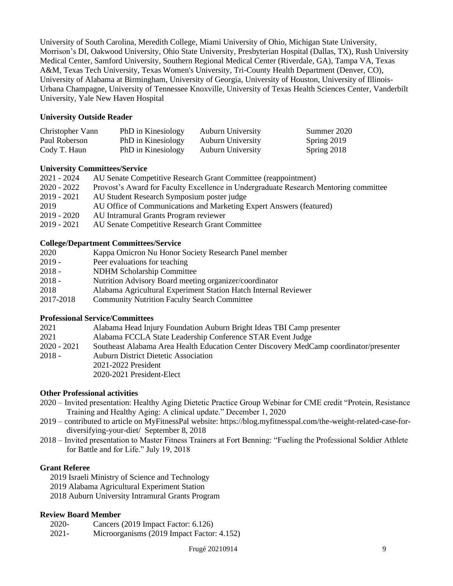University of South Carolina, Meredith College, Miami University of Ohio, Michigan State University, Morrison's DI, Oakwood University, Ohio State University, Presbyterian Hospital (Dallas, TX), Rush University Medical Center, Samford University, Southern Regional Medical Center (Riverdale, GA), Tampa VA, Texas A&M, Texas Tech University, Texas Women's University, Tri-County Health Department (Denver, CO), University of Alabama at Birmingham, University of Georgia, University of Houston, University of Illinois-Urbana Champagne, University of Tennessee Knoxville, University of Texas Health Sciences Center, Vanderbilt University, Yale New Haven Hospital

# **University Outside Reader**

| Christopher Vann | PhD in Kinesiology | <b>Auburn University</b> | Summer 2020 |
|------------------|--------------------|--------------------------|-------------|
| Paul Roberson    | PhD in Kinesiology | <b>Auburn University</b> | Spring 2019 |
| Cody T. Haun     | PhD in Kinesiology | <b>Auburn University</b> | Spring 2018 |

# **University Committees/Service**

| 2021 - 2024   | AU Senate Competitive Research Grant Committee (reappointment)                       |
|---------------|--------------------------------------------------------------------------------------|
| 2020 - 2022   | Provost's Award for Faculty Excellence in Undergraduate Research Mentoring committee |
| 2019 - 2021   | AU Student Research Symposium poster judge                                           |
| 2019          | AU Office of Communications and Marketing Expert Answers (featured)                  |
| $2019 - 2020$ | AU Intramural Grants Program reviewer                                                |
| 2019 - 2021   | AU Senate Competitive Research Grant Committee                                       |

# **College/Department Committees/Service**

| 2020      | Kappa Omicron Nu Honor Society Research Panel member            |
|-----------|-----------------------------------------------------------------|
| $2019 -$  | Peer evaluations for teaching                                   |
| $2018 -$  | <b>NDHM Scholarship Committee</b>                               |
| $2018 -$  | Nutrition Advisory Board meeting organizer/coordinator          |
| 2018      | Alabama Agricultural Experiment Station Hatch Internal Reviewer |
| 2017-2018 | <b>Community Nutrition Faculty Search Committee</b>             |

## **Professional Service/Committees**

| 2021 | Alabama Head Injury Foundation Auburn Bright Ideas TBI Camp presenter |  |  |  |  |
|------|-----------------------------------------------------------------------|--|--|--|--|
|      |                                                                       |  |  |  |  |

- 2021 Alabama FCCLA State Leadership Conference STAR Event Judge
- 2020 2021 Southeast Alabama Area Health Education Center Discovery MedCamp coordinator/presenter 2018 - Auburn District Dietetic Association
	- 2021-2022 President
	- 2020-2021 President-Elect

# **Other Professional activities**

- 2020 Invited presentation: Healthy Aging Dietetic Practice Group Webinar for CME credit "Protein, Resistance Training and Healthy Aging: A clinical update." December 1, 2020
- 2019 contributed to article on MyFitnessPal website: https://blog.myfitnesspal.com/the-weight-related-case-fordiversifying-your-diet/ September 8, 2018
- 2018 Invited presentation to Master Fitness Trainers at Fort Benning: "Fueling the Professional Soldier Athlete for Battle and for Life." July 19, 2018

# **Grant Referee**

- 2019 Israeli Ministry of Science and Technology
- 2019 Alabama Agricultural Experiment Station
- 2018 Auburn University Intramural Grants Program

# **Review Board Member**

- 2020- Cancers (2019 Impact Factor: 6.126)
- 2021- Microorganisms (2019 Impact Factor: 4.152)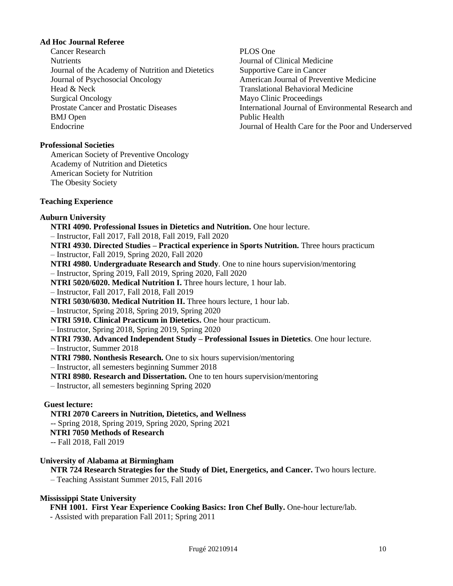## **Ad Hoc Journal Referee**

Cancer Research **Nutrients** Journal of the Academy of Nutrition and Dietetics Journal of Psychosocial Oncology Head & Neck Surgical Oncology Prostate Cancer and Prostatic Diseases BMJ Open Endocrine

### **Professional Societies**

American Society of Preventive Oncology Academy of Nutrition and Dietetics American Society for Nutrition The Obesity Society

PLOS One Journal of Clinical Medicine Supportive Care in Cancer American Journal of Preventive Medicine Translational Behavioral Medicine Mayo Clinic Proceedings International Journal of Environmental Research and Public Health Journal of Health Care for the Poor and Underserved

#### **Teaching Experience**

#### **Auburn University**

**NTRI 4090. Professional Issues in Dietetics and Nutrition.** One hour lecture. – Instructor, Fall 2017, Fall 2018, Fall 2019, Fall 2020 **NTRI 4930. Directed Studies – Practical experience in Sports Nutrition.** Three hours practicum

- Instructor, Fall 2019, Spring 2020, Fall 2020
- **NTRI 4980. Undergraduate Research and Study**. One to nine hours supervision/mentoring – Instructor, Spring 2019, Fall 2019, Spring 2020, Fall 2020

**NTRI 5020/6020. Medical Nutrition I. Three hours lecture, 1 hour lab.** 

– Instructor, Fall 2017, Fall 2018, Fall 2019

**NTRI 5030/6030. Medical Nutrition II.** Three hours lecture, 1 hour lab.

– Instructor, Spring 2018, Spring 2019, Spring 2020

**NTRI 5910. Clinical Practicum in Dietetics.** One hour practicum.

– Instructor, Spring 2018, Spring 2019, Spring 2020

**NTRI 7930. Advanced Independent Study – Professional Issues in Dietetics**. One hour lecture.

– Instructor, Summer 2018

**NTRI 7980. Nonthesis Research.** One to six hours supervision/mentoring

– Instructor, all semesters beginning Summer 2018

**NTRI 8980. Research and Dissertation.** One to ten hours supervision/mentoring

– Instructor, all semesters beginning Spring 2020

# **Guest lecture:**

**NTRI 2070 Careers in Nutrition, Dietetics, and Wellness**

-- Spring 2018, Spring 2019, Spring 2020, Spring 2021

- **NTRI 7050 Methods of Research**
- -- Fall 2018, Fall 2019

## **University of Alabama at Birmingham**

**NTR 724 Research Strategies for the Study of Diet, Energetics, and Cancer.** Two hours lecture. – Teaching Assistant Summer 2015, Fall 2016

# **Mississippi State University**

**FNH 1001. First Year Experience Cooking Basics: Iron Chef Bully.** One-hour lecture/lab.

- Assisted with preparation Fall 2011; Spring 2011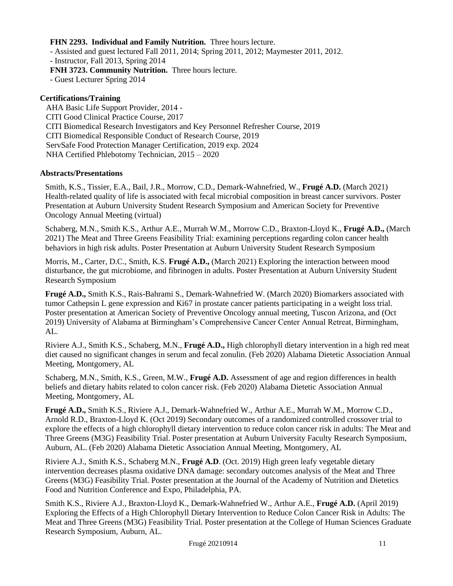# **FHN 2293. Individual and Family Nutrition.** Three hours lecture.

- Assisted and guest lectured Fall 2011, 2014; Spring 2011, 2012; Maymester 2011, 2012. - Instructor, Fall 2013, Spring 2014 **FNH 3723. Community Nutrition.** Three hours lecture. - Guest Lecturer Spring 2014

# **Certifications/Training**

 AHA Basic Life Support Provider, 2014 - CITI Good Clinical Practice Course, 2017 CITI Biomedical Research Investigators and Key Personnel Refresher Course, 2019 CITI Biomedical Responsible Conduct of Research Course, 2019 ServSafe Food Protection Manager Certification, 2019 exp. 2024 NHA Certified Phlebotomy Technician, 2015 – 2020

# **Abstracts/Presentations**

Smith, K.S., Tissier, E.A., Bail, J.R., Morrow, C.D., Demark-Wahnefried, W., **Frugé A.D.** (March 2021) Health-related quality of life is associated with fecal microbial composition in breast cancer survivors. Poster Presentation at Auburn University Student Research Symposium and American Society for Preventive Oncology Annual Meeting (virtual)

Schaberg, M.N., Smith K.S., Arthur A.E., Murrah W.M., Morrow C.D., Braxton-Lloyd K., **Frugé A.D.,** (March 2021) The Meat and Three Greens Feasibility Trial: examining perceptions regarding colon cancer health behaviors in high risk adults. Poster Presentation at Auburn University Student Research Symposium

Morris, M., Carter, D.C., Smith, K.S. **Frugé A.D.,** (March 2021) Exploring the interaction between mood disturbance, the gut microbiome, and fibrinogen in adults. Poster Presentation at Auburn University Student Research Symposium

**Frugé A.D.,** Smith K.S., Rais-Bahrami S., Demark-Wahnefried W. (March 2020) Biomarkers associated with tumor Cathepsin L gene expression and Ki67 in prostate cancer patients participating in a weight loss trial. Poster presentation at American Society of Preventive Oncology annual meeting, Tuscon Arizona, and (Oct 2019) University of Alabama at Birmingham's Comprehensive Cancer Center Annual Retreat, Birmingham, AL.

Riviere A.J., Smith K.S., Schaberg, M.N., **Frugé A.D.,** High chlorophyll dietary intervention in a high red meat diet caused no significant changes in serum and fecal zonulin. (Feb 2020) Alabama Dietetic Association Annual Meeting, Montgomery, AL

Schaberg, M.N., Smith, K.S., Green, M.W., **Frugé A.D.** Assessment of age and region differences in health beliefs and dietary habits related to colon cancer risk. (Feb 2020) Alabama Dietetic Association Annual Meeting, Montgomery, AL

**Frugé A.D.,** Smith K.S., Riviere A.J., Demark-Wahnefried W., Arthur A.E., Murrah W.M., Morrow C.D., Arnold R.D., Braxton-Lloyd K. (Oct 2019) Secondary outcomes of a randomized controlled crossover trial to explore the effects of a high chlorophyll dietary intervention to reduce colon cancer risk in adults: The Meat and Three Greens (M3G) Feasibility Trial. Poster presentation at Auburn University Faculty Research Symposium, Auburn, AL. (Feb 2020) Alabama Dietetic Association Annual Meeting, Montgomery, AL

Riviere A.J., Smith K.S., Schaberg M.N., **Frugé A.D**. (Oct. 2019) High green leafy vegetable dietary intervention decreases plasma oxidative DNA damage: secondary outcomes analysis of the Meat and Three Greens (M3G) Feasibility Trial. Poster presentation at the Journal of the Academy of Nutrition and Dietetics Food and Nutrition Conference and Expo, Philadelphia, PA.

Smith K.S., Riviere A.J., Braxton-Lloyd K., Demark-Wahnefried W., Arthur A.E., **Frugé A.D.** (April 2019) Exploring the Effects of a High Chlorophyll Dietary Intervention to Reduce Colon Cancer Risk in Adults: The Meat and Three Greens (M3G) Feasibility Trial. Poster presentation at the College of Human Sciences Graduate Research Symposium, Auburn, AL.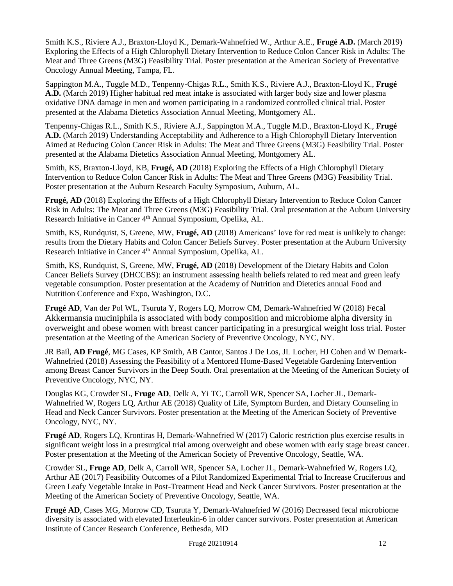Smith K.S., Riviere A.J., Braxton-Lloyd K., Demark-Wahnefried W., Arthur A.E., **Frugé A.D.** (March 2019) Exploring the Effects of a High Chlorophyll Dietary Intervention to Reduce Colon Cancer Risk in Adults: The Meat and Three Greens (M3G) Feasibility Trial. Poster presentation at the American Society of Preventative Oncology Annual Meeting, Tampa, FL.

Sappington M.A., Tuggle M.D., Tenpenny-Chigas R.L., Smith K.S., Riviere A.J., Braxton-Lloyd K., **Frugé A.D.** (March 2019) Higher habitual red meat intake is associated with larger body size and lower plasma oxidative DNA damage in men and women participating in a randomized controlled clinical trial. Poster presented at the Alabama Dietetics Association Annual Meeting, Montgomery AL.

Tenpenny-Chigas R.L., Smith K.S., Riviere A.J., Sappington M.A., Tuggle M.D., Braxton-Lloyd K., **Frugé A.D.** (March 2019) Understanding Acceptability and Adherence to a High Chlorophyll Dietary Intervention Aimed at Reducing Colon Cancer Risk in Adults: The Meat and Three Greens (M3G) Feasibility Trial. Poster presented at the Alabama Dietetics Association Annual Meeting, Montgomery AL.

Smith, KS, Braxton-Lloyd, KB, **Frugé, AD** (2018) Exploring the Effects of a High Chlorophyll Dietary Intervention to Reduce Colon Cancer Risk in Adults: The Meat and Three Greens (M3G) Feasibility Trial. Poster presentation at the Auburn Research Faculty Symposium, Auburn, AL.

**Frugé, AD** (2018) Exploring the Effects of a High Chlorophyll Dietary Intervention to Reduce Colon Cancer Risk in Adults: The Meat and Three Greens (M3G) Feasibility Trial. Oral presentation at the Auburn University Research Initiative in Cancer 4<sup>th</sup> Annual Symposium, Opelika, AL.

Smith, KS, Rundquist, S, Greene, MW, **Frugé, AD** (2018) Americans' love for red meat is unlikely to change: results from the Dietary Habits and Colon Cancer Beliefs Survey. Poster presentation at the Auburn University Research Initiative in Cancer 4<sup>th</sup> Annual Symposium, Opelika, AL.

Smith, KS, Rundquist, S, Greene, MW, **Frugé, AD** (2018) Development of the Dietary Habits and Colon Cancer Beliefs Survey (DHCCBS): an instrument assessing health beliefs related to red meat and green leafy vegetable consumption. Poster presentation at the Academy of Nutrition and Dietetics annual Food and Nutrition Conference and Expo, Washington, D.C.

**Frugé AD**, Van der Pol WL, Tsuruta Y, Rogers LQ, Morrow CM, Demark-Wahnefried W (2018) Fecal Akkermansia muciniphila is associated with body composition and microbiome alpha diversity in overweight and obese women with breast cancer participating in a presurgical weight loss trial. Poster presentation at the Meeting of the American Society of Preventive Oncology, NYC, NY.

JR Bail, **AD Frugé**, MG Cases, KP Smith, AB Cantor, Santos J De Los, JL Locher, HJ Cohen and W Demark-Wahnefried (2018) Assessing the Feasibility of a Mentored Home-Based Vegetable Gardening Intervention among Breast Cancer Survivors in the Deep South. Oral presentation at the Meeting of the American Society of Preventive Oncology, NYC, NY.

Douglas KG, Crowder SL, **Fruge AD**, Delk A, Yi TC, Carroll WR, Spencer SA, Locher JL, Demark-Wahnefried W, Rogers LQ, Arthur AE (2018) Quality of Life, Symptom Burden, and Dietary Counseling in Head and Neck Cancer Survivors. Poster presentation at the Meeting of the American Society of Preventive Oncology, NYC, NY.

**Frugé AD**, Rogers LQ, Krontiras H, Demark-Wahnefried W (2017) Caloric restriction plus exercise results in significant weight loss in a presurgical trial among overweight and obese women with early stage breast cancer. Poster presentation at the Meeting of the American Society of Preventive Oncology, Seattle, WA.

Crowder SL, **Fruge AD**, Delk A, Carroll WR, Spencer SA, Locher JL, Demark-Wahnefried W, Rogers LQ, Arthur AE (2017) Feasibility Outcomes of a Pilot Randomized Experimental Trial to Increase Cruciferous and Green Leafy Vegetable Intake in Post-Treatment Head and Neck Cancer Survivors. Poster presentation at the Meeting of the American Society of Preventive Oncology, Seattle, WA.

**Frugé AD**, Cases MG, Morrow CD, Tsuruta Y, Demark-Wahnefried W (2016) Decreased fecal microbiome diversity is associated with elevated Interleukin-6 in older cancer survivors. Poster presentation at American Institute of Cancer Research Conference, Bethesda, MD